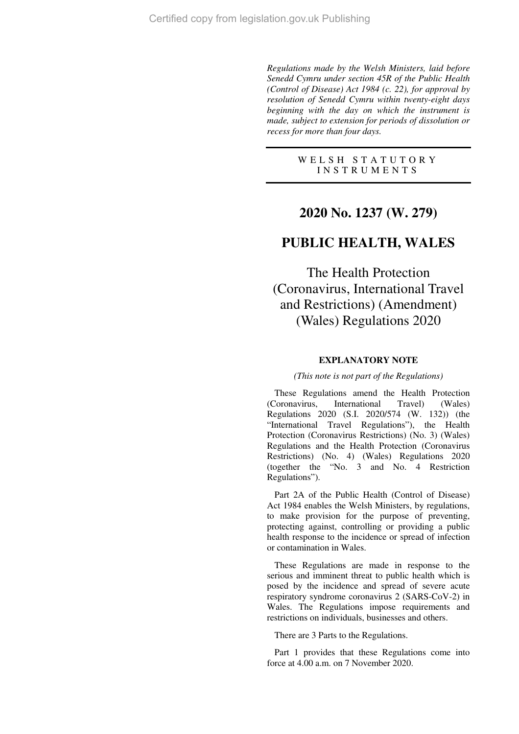*Regulations made by the Welsh Ministers, laid before Senedd Cymru under section 45R of the Public Health (Control of Disease) Act 1984 (c. 22), for approval by resolution of Senedd Cymru within twenty-eight days beginning with the day on which the instrument is made, subject to extension for periods of dissolution or recess for more than four days.* 

> W E L S H S T A T U T O R Y I N S T R U M E N T S

# **2020 No. 1237 (W. 279)**

# **PUBLIC HEALTH, WALES**

The Health Protection (Coronavirus, International Travel and Restrictions) (Amendment) (Wales) Regulations 2020

### **EXPLANATORY NOTE**

### *(This note is not part of the Regulations)*

These Regulations amend the Health Protection (Coronavirus, International Travel) (Wales) Regulations 2020 (S.I. 2020/574 (W. 132)) (the "International Travel Regulations"), the Health Protection (Coronavirus Restrictions) (No. 3) (Wales) Regulations and the Health Protection (Coronavirus Restrictions) (No. 4) (Wales) Regulations 2020 (together the "No. 3 and No. 4 Restriction Regulations").

Part 2A of the Public Health (Control of Disease) Act 1984 enables the Welsh Ministers, by regulations, to make provision for the purpose of preventing, protecting against, controlling or providing a public health response to the incidence or spread of infection or contamination in Wales.

These Regulations are made in response to the serious and imminent threat to public health which is posed by the incidence and spread of severe acute respiratory syndrome coronavirus 2 (SARS-CoV-2) in Wales. The Regulations impose requirements and restrictions on individuals, businesses and others.

There are 3 Parts to the Regulations.

Part 1 provides that these Regulations come into force at 4.00 a.m. on 7 November 2020.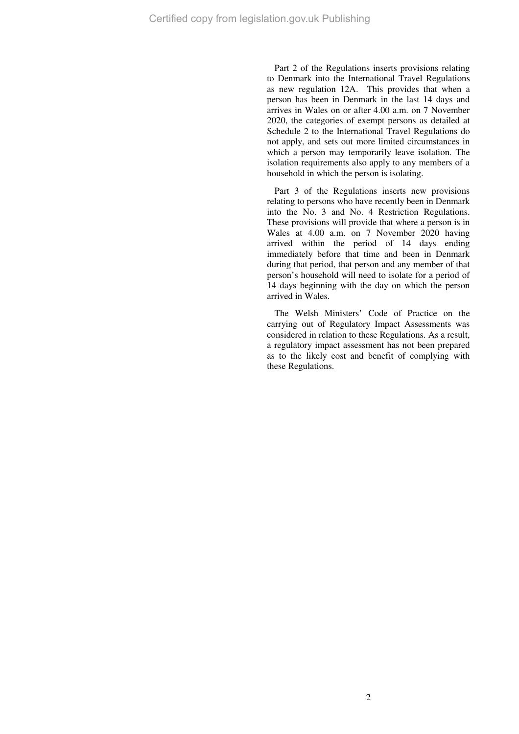Part 2 of the Regulations inserts provisions relating to Denmark into the International Travel Regulations as new regulation 12A. This provides that when a person has been in Denmark in the last 14 days and arrives in Wales on or after 4.00 a.m. on 7 November 2020, the categories of exempt persons as detailed at Schedule 2 to the International Travel Regulations do not apply, and sets out more limited circumstances in which a person may temporarily leave isolation. The isolation requirements also apply to any members of a household in which the person is isolating.

Part 3 of the Regulations inserts new provisions relating to persons who have recently been in Denmark into the No. 3 and No. 4 Restriction Regulations. These provisions will provide that where a person is in Wales at 4.00 a.m. on 7 November 2020 having arrived within the period of 14 days ending immediately before that time and been in Denmark during that period, that person and any member of that person's household will need to isolate for a period of 14 days beginning with the day on which the person arrived in Wales.

The Welsh Ministers' Code of Practice on the carrying out of Regulatory Impact Assessments was considered in relation to these Regulations. As a result, a regulatory impact assessment has not been prepared as to the likely cost and benefit of complying with these Regulations.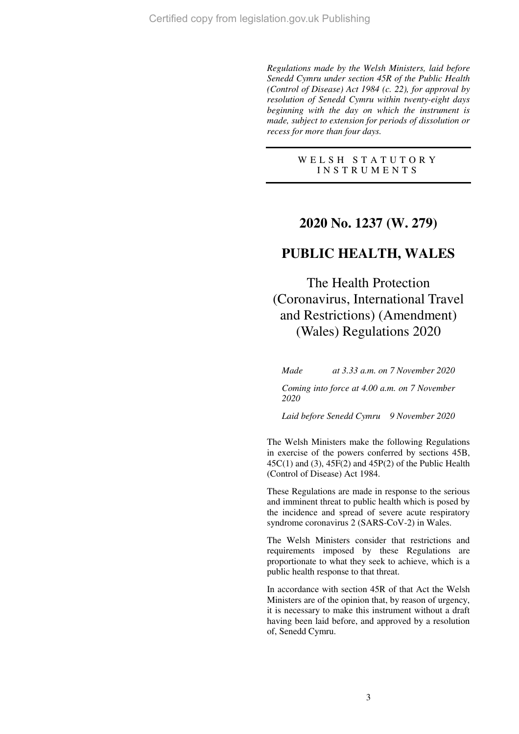*Regulations made by the Welsh Ministers, laid before Senedd Cymru under section 45R of the Public Health (Control of Disease) Act 1984 (c. 22), for approval by resolution of Senedd Cymru within twenty-eight days beginning with the day on which the instrument is made, subject to extension for periods of dissolution or recess for more than four days.* 

> W E L S H S T A T U T O R Y I N S T R U M E N T S

# **2020 No. 1237 (W. 279)**

# **PUBLIC HEALTH, WALES**

The Health Protection (Coronavirus, International Travel and Restrictions) (Amendment) (Wales) Regulations 2020

*Made at 3.33 a.m. on 7 November 2020* 

*Coming into force at 4.00 a.m. on 7 November 2020* 

*Laid before Senedd Cymru 9 November 2020* 

The Welsh Ministers make the following Regulations in exercise of the powers conferred by sections 45B,  $45C(1)$  and  $(3)$ ,  $45F(2)$  and  $45P(2)$  of the Public Health (Control of Disease) Act 1984.

These Regulations are made in response to the serious and imminent threat to public health which is posed by the incidence and spread of severe acute respiratory syndrome coronavirus 2 (SARS-CoV-2) in Wales.

The Welsh Ministers consider that restrictions and requirements imposed by these Regulations are proportionate to what they seek to achieve, which is a public health response to that threat.

In accordance with section 45R of that Act the Welsh Ministers are of the opinion that, by reason of urgency, it is necessary to make this instrument without a draft having been laid before, and approved by a resolution of, Senedd Cymru.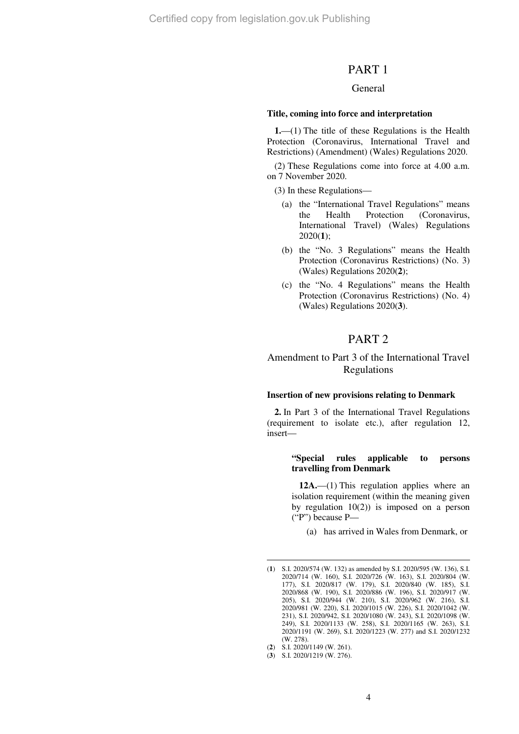Certified copy from legislation.gov.uk Publishing

### PART 1

### General

#### **Title, coming into force and interpretation**

**1.**—(1) The title of these Regulations is the Health Protection (Coronavirus, International Travel and Restrictions) (Amendment) (Wales) Regulations 2020.

(2) These Regulations come into force at 4.00 a.m. on 7 November 2020.

(3) In these Regulations—

- (a) the "International Travel Regulations" means the Health Protection (Coronavirus, International Travel) (Wales) Regulations 2020(**1**);
- (b) the "No. 3 Regulations" means the Health Protection (Coronavirus Restrictions) (No. 3) (Wales) Regulations 2020(**2**);
- (c) the "No. 4 Regulations" means the Health Protection (Coronavirus Restrictions) (No. 4) (Wales) Regulations 2020(**3**).

# PART 2

### Amendment to Part 3 of the International Travel Regulations

#### **Insertion of new provisions relating to Denmark**

**2.** In Part 3 of the International Travel Regulations (requirement to isolate etc.), after regulation 12, insert—

### **"Special rules applicable to persons travelling from Denmark**

**12A.**—(1) This regulation applies where an isolation requirement (within the meaning given by regulation  $10(2)$  is imposed on a person ("P") because P—

(a) has arrived in Wales from Denmark, or

 $\overline{a}$ 

<sup>(</sup>**1**) S.I. 2020/574 (W. 132) as amended by S.I. 2020/595 (W. 136), S.I. 2020/714 (W. 160), S.I. 2020/726 (W. 163), S.I. 2020/804 (W. 177), S.I. 2020/817 (W. 179), S.I. 2020/840 (W. 185), S.I. 2020/868 (W. 190), S.I. 2020/886 (W. 196), S.I. 2020/917 (W. 205), S.I. 2020/944 (W. 210), S.I. 2020/962 (W. 216), S.I. 2020/981 (W. 220), S.I. 2020/1015 (W. 226), S.I. 2020/1042 (W. 231), S.I. 2020/942, S.I. 2020/1080 (W. 243), S.I. 2020/1098 (W. 249), S.I. 2020/1133 (W. 258), S.I. 2020/1165 (W. 263), S.I. 2020/1191 (W. 269), S.I. 2020/1223 (W. 277) and S.I. 2020/1232 (W. 278).

<sup>(</sup>**2**) S.I. 2020/1149 (W. 261).

<sup>(</sup>**3**) S.I. 2020/1219 (W. 276).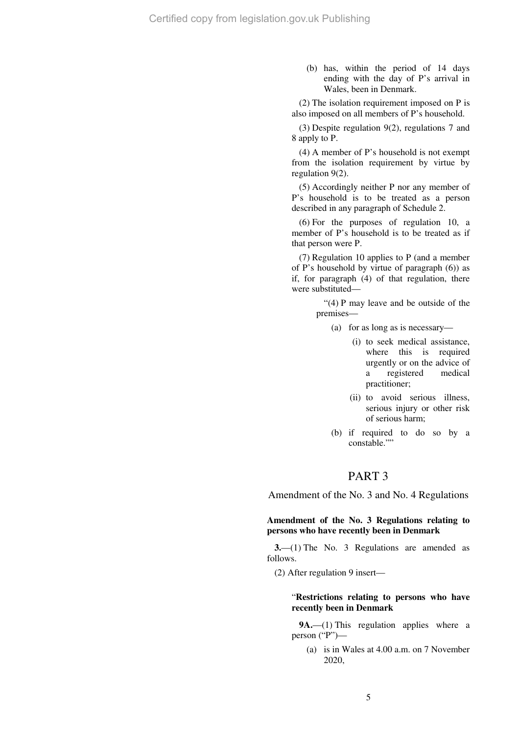(b) has, within the period of 14 days ending with the day of P's arrival in Wales, been in Denmark.

(2) The isolation requirement imposed on P is also imposed on all members of P's household.

(3) Despite regulation 9(2), regulations 7 and 8 apply to P.

(4) A member of P's household is not exempt from the isolation requirement by virtue by regulation 9(2).

(5) Accordingly neither P nor any member of P's household is to be treated as a person described in any paragraph of Schedule 2.

(6) For the purposes of regulation 10, a member of P's household is to be treated as if that person were P.

(7) Regulation 10 applies to P (and a member of P's household by virtue of paragraph (6)) as if, for paragraph (4) of that regulation, there were substituted—

> "(4) P may leave and be outside of the premises—

- (a) for as long as is necessary—
	- (i) to seek medical assistance, where this is required urgently or on the advice of a registered medical practitioner;
	- (ii) to avoid serious illness, serious injury or other risk of serious harm;
- (b) if required to do so by a constable.""

# PART 3

Amendment of the No. 3 and No. 4 Regulations

### **Amendment of the No. 3 Regulations relating to persons who have recently been in Denmark**

**3.**—(1) The No. 3 Regulations are amended as follows.

(2) After regulation 9 insert—

### "**Restrictions relating to persons who have recently been in Denmark**

**9A.**—(1) This regulation applies where a person ("P")—

(a) is in Wales at 4.00 a.m. on 7 November 2020,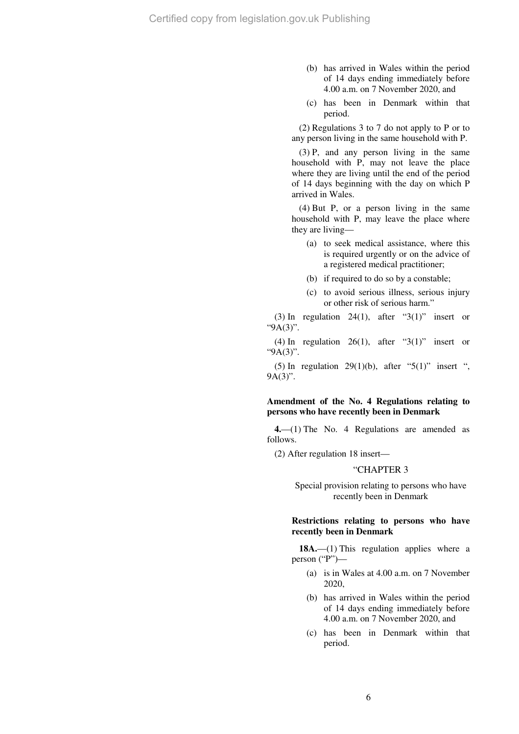- (b) has arrived in Wales within the period of 14 days ending immediately before 4.00 a.m. on 7 November 2020, and
- (c) has been in Denmark within that period.

(2) Regulations 3 to 7 do not apply to P or to any person living in the same household with P.

(3) P, and any person living in the same household with P, may not leave the place where they are living until the end of the period of 14 days beginning with the day on which P arrived in Wales.

(4) But P, or a person living in the same household with P, may leave the place where they are living—

- (a) to seek medical assistance, where this is required urgently or on the advice of a registered medical practitioner;
- (b) if required to do so by a constable;
- (c) to avoid serious illness, serious injury or other risk of serious harm."

(3) In regulation 24(1), after " $3(1)$ " insert or "9A(3)".

(4) In regulation  $26(1)$ , after "3(1)" insert or "9A(3)".

(5) In regulation 29(1)(b), after "5(1)" insert ", 9A(3)".

### **Amendment of the No. 4 Regulations relating to persons who have recently been in Denmark**

**4.**—(1) The No. 4 Regulations are amended as follows.

(2) After regulation 18 insert—

#### "CHAPTER 3

Special provision relating to persons who have recently been in Denmark

### **Restrictions relating to persons who have recently been in Denmark**

18A.—(1) This regulation applies where a person ("P")—

- (a) is in Wales at 4.00 a.m. on 7 November 2020,
- (b) has arrived in Wales within the period of 14 days ending immediately before 4.00 a.m. on 7 November 2020, and
- (c) has been in Denmark within that period.